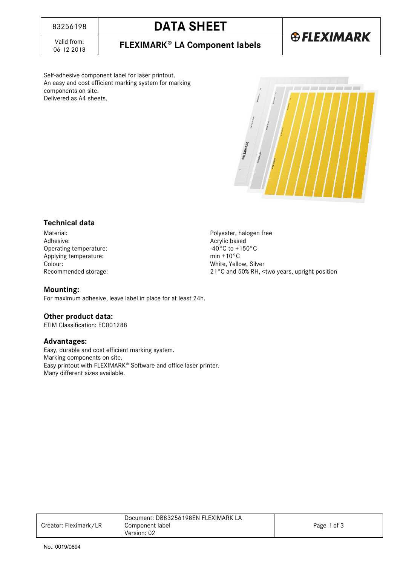Valid from:<br>06-12-2018

Self-adhesive component label for laser printout. An easy and cost efficient marking system for marking components on site. Delivered as A4 sheets.



### **Technical data**

Material:<br>
Adhesive:<br>
Adhesive:<br>
Accrylic based Operating temperature:  $-40^{\circ}$ C to +150°C to +150°C to +150°C to +150°C to +150°C Applying temperature: Colour: White, Yellow, Silver

Acrylic based<br>-40°C to +150°C Recommended storage: 21°C and 50% RH, <two years, upright position

### **Mounting:**

For maximum adhesive, leave label in place for at least 24h.

### **Other product data:**

ETIM Classification: EC001288

### **Advantages:**

Easy, durable and cost efficient marking system. Marking components on site. Easy printout with FLEXIMARK<sup>®</sup> Software and office laser printer. Many different sizes available.

|                       | Document: DB83256198EN FLEXIMARK LA |             |
|-----------------------|-------------------------------------|-------------|
| Creator: Fleximark/LR | Component label                     | Page 1 of 3 |
|                       | Version: 02                         |             |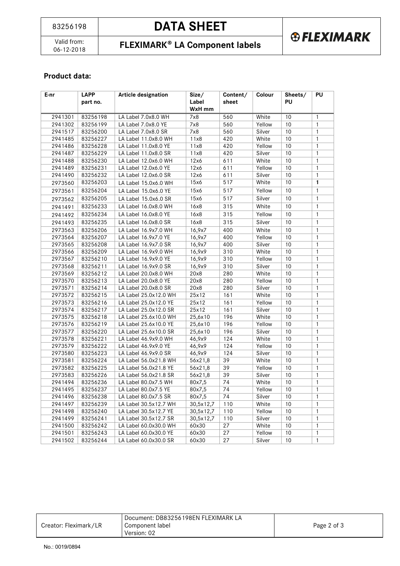# **DATA SHEET**

Valid from:<br>06-12-2018

## 06-12-2018 **FLEXIMARK LA Component labels**

### **Product data:**

| $E-nr$  | <b>LAPP</b> | <b>Article designation</b> | Size/     | Content/<br>Label<br>sheet |        | Sheets/ | PU           |
|---------|-------------|----------------------------|-----------|----------------------------|--------|---------|--------------|
|         | part no.    |                            | WxH mm    |                            |        | PU      |              |
| 2941301 | 83256198    | LA Label 7.0x8.0 WH        | 7x8       | 560                        | White  | 10      | $\mathbf{1}$ |
| 2941302 | 83256199    | LA Label 7.0x8.0 YE        | 7x8       | 560                        | Yellow | 10      | $\mathbf{1}$ |
| 2941517 | 83256200    | LA Label 7.0x8.0 SR        | 7x8       | 560                        | Silver | 10      | $\mathbf{1}$ |
| 2941485 | 83256227    | LA Label 11.0x8.0 WH       | 11x8      | 420                        | White  | 10      | $\mathbf{1}$ |
| 2941486 | 83256228    | LA Label 11.0x8.0 YE       | 11x8      | 420                        | Yellow | 10      | $\mathbf{1}$ |
| 2941487 | 83256229    | LA Label 11.0x8.0 SR       | 11x8      | 420                        | Silver | 10      | $\mathbf{1}$ |
| 2941488 | 83256230    | LA Label 12.0x6.0 WH       | 12x6      | 611                        | White  | 10      | $\mathbf{1}$ |
| 2941489 | 83256231    | LA Label 12.0x6.0 YE       | 12x6      | 611                        | Yellow | 10      | $\mathbf{1}$ |
| 2941490 | 83256232    | LA Label 12.0x6.0 SR       | 12x6      | 611                        | Silver | 10      | $\mathbf{1}$ |
| 2973560 | 83256203    | LA Label 15.0x6.0 WH       | 15x6      | 517                        | White  | 10      | $\mathbf{1}$ |
| 2973561 | 83256204    | LA Label 15.0x6.0 YE       | 15x6      | 517                        | Yellow | 10      | $\mathbf{1}$ |
| 2973562 | 83256205    | LA Label 15.0x6.0 SR       | 15x6      | 517                        | Silver | 10      | $\mathbf{1}$ |
| 2941491 | 83256233    | LA Label 16.0x8.0 WH       | 16x8      | 315                        | White  | 10      | $\mathbf{1}$ |
| 2941492 | 83256234    | LA Label 16.0x8.0 YE       | 16x8      | 315                        | Yellow | 10      | $\mathbf{1}$ |
| 2941493 | 83256235    | LA Label 16.0x8.0 SR       | 16x8      | 315                        | Silver | 10      | $\mathbf{1}$ |
| 2973563 | 83256206    | LA Label 16.9x7.0 WH       | 16,9x7    | 400                        | White  | 10      | $\mathbf{1}$ |
| 2973564 | 83256207    | LA Label 16.9x7.0 YE       | 16,9x7    | 400                        | Yellow | 10      | $\mathbf{1}$ |
| 2973565 | 83256208    | LA Label 16.9x7.0 SR       | 16,9x7    | 400                        | Silver | 10      | $\mathbf{1}$ |
| 2973566 | 83256209    | LA Label 16.9x9.0 WH       | 16,9x9    | 310                        | White  | 10      | $\mathbf{1}$ |
| 2973567 | 83256210    | LA Label 16.9x9.0 YE       | 16,9x9    | 310                        | Yellow | 10      | $\mathbf{1}$ |
| 2973568 | 83256211    | LA Label 16.9x9.0 SR       | 16,9x9    | 310                        | Silver | 10      | $\mathbf{1}$ |
| 2973569 | 83256212    | LA Label 20.0x8.0 WH       | 20x8      | 280                        | White  | 10      | $\mathbf{1}$ |
| 2973570 | 83256213    | LA Label 20.0x8.0 YE       | 20x8      | 280                        | Yellow | 10      | $\mathbf{1}$ |
| 2973571 | 83256214    | LA Label 20.0x8.0 SR       | 20x8      | 280                        | Silver | 10      | $\mathbf{1}$ |
| 2973572 | 83256215    | LA Label 25.0x12.0 WH      | 25x12     | 161                        | White  | 10      | $\mathbf{1}$ |
| 2973573 | 83256216    | LA Label 25.0x12.0 YE      | 25x12     | 161                        | Yellow | 10      | $\mathbf{1}$ |
| 2973574 | 83256217    | LA Label 25.0x12.0 SR      | 25x12     | 161                        | Silver | 10      | $\mathbf{1}$ |
| 2973575 | 83256218    | LA Label 25.6x10.0 WH      | 25,6x10   | 196                        | White  | 10      | $\mathbf{1}$ |
| 2973576 | 83256219    | LA Label 25.6x10.0 YE      | 25,6x10   | 196                        | Yellow | 10      | $\mathbf{1}$ |
| 2973577 | 83256220    | LA Label 25.6x10.0 SR      | 25,6x10   | 196                        | Silver | 10      | $\mathbf{1}$ |
| 2973578 | 83256221    | LA Label 46.9x9.0 WH       | 46,9x9    | 124                        | White  | 10      | $\mathbf{1}$ |
| 2973579 | 83256222    | LA Label 46.9x9.0 YE       | 46,9x9    | 124                        | Yellow | 10      | $\mathbf{1}$ |
| 2973580 | 83256223    | LA Label 46.9x9.0 SR       | 46,9x9    | 124                        | Silver | 10      | $\mathbf{1}$ |
| 2973581 | 83256224    | LA Label 56.0x21.8 WH      | 56x21,8   | 39                         | White  | 10      | $\mathbf{1}$ |
| 2973582 | 83256225    | LA Label 56.0x21.8 YE      | 56x21,8   | 39                         | Yellow | 10      | 1            |
| 2973583 | 83256226    | LA Label 56.0x21.8 SR      | 56x21,8   | 39                         | Silver | 10      | $\mathbf{1}$ |
| 2941494 | 83256236    | LA Label 80.0x7.5 WH       | 80x7,5    | 74                         | White  | 10      | $\mathbf{1}$ |
| 2941495 | 83256237    | LA Label 80.0x7.5 YE       | 80x7,5    | 74                         | Yellow | 10      | $\mathbf{1}$ |
| 2941496 | 83256238    | LA Label 80.0x7.5 SR       | 80x7,5    | 74                         | Silver | 10      | 1            |
| 2941497 | 83256239    | LA Label 30.5x12.7 WH      | 30,5x12,7 | 110                        | White  | 10      | 1            |
| 2941498 | 83256240    | LA Label 30.5x12.7 YE      | 30,5x12,7 | 110                        | Yellow | $10$    | 1            |
| 2941499 | 83256241    | LA Label 30.5x12.7 SR      | 30,5x12,7 | 110                        | Silver | 10      | 1            |
| 2941500 | 83256242    | LA Label 60.0x30.0 WH      | 60x30     | 27                         | White  | 10      | 1            |
| 2941501 | 83256243    | LA Label 60.0x30.0 YE      | 60x30     | 27                         | Yellow | 10      | 1            |
| 2941502 | 83256244    | LA Label 60.0x30.0 SR      | 60x30     | 27                         | Silver | 10      | 1            |

| Creator: Fleximark/LR | Document: DB83256198EN FLEXIMARK LA<br>Component label<br>Version: 02 | Page 2 of 3 |
|-----------------------|-----------------------------------------------------------------------|-------------|
|                       |                                                                       |             |